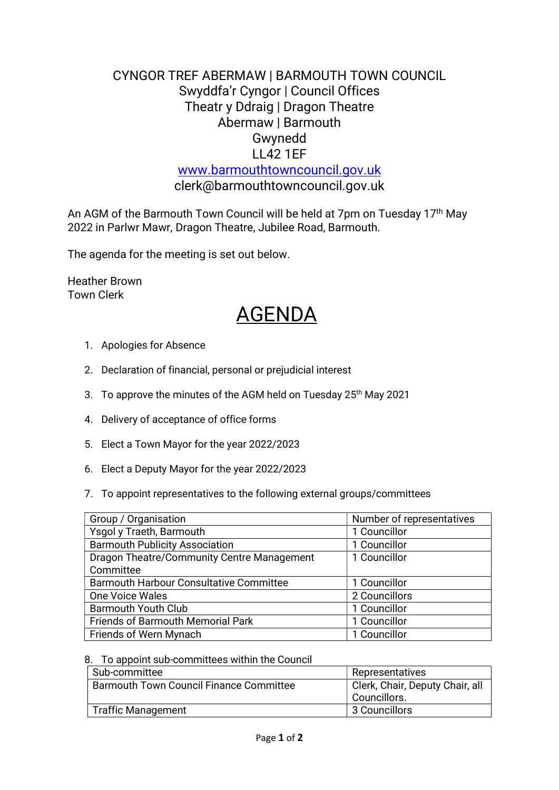## CYNGOR TREF ABERMAW | BARMOUTH TOWN COUNCIL Swyddfa'r Cyngor | Council Offices Theatr y Ddraig | Dragon Theatre Abermaw | Barmouth Gwynedd LL42 1EF

www.barmouthtowncouncil.gov.uk clerk@barmouthtowncouncil.gov.uk

An AGM of the Barmouth Town Council will be held at 7pm on Tuesday 17<sup>th</sup> May 2022 in Parlwr Mawr, Dragon Theatre, Jubilee Road, Barmouth.

The agenda for the meeting is set out below.

Heather Brown Town Clerk

## AGENDA

- 1. Apologies for Absence
- 2. Declaration of financial, personal or prejudicial interest
- 3. To approve the minutes of the AGM held on Tuesday 25<sup>th</sup> May 2021
- 4. Delivery of acceptance of office forms
- 5. Elect a Town Mayor for the year 2022/2023
- 6. Elect a Deputy Mayor for the year 2022/2023
- 7. To appoint representatives to the following external groups/committees

| Group / Organisation                           | Number of representatives |
|------------------------------------------------|---------------------------|
| Ysgol y Traeth, Barmouth                       | 1 Councillor              |
| <b>Barmouth Publicity Association</b>          | 1 Councillor              |
| Dragon Theatre/Community Centre Management     | 1 Councillor              |
| Committee                                      |                           |
| <b>Barmouth Harbour Consultative Committee</b> | 1 Councillor              |
| One Voice Wales                                | 2 Councillors             |
| <b>Barmouth Youth Club</b>                     | 1 Councillor              |
| <b>Friends of Barmouth Memorial Park</b>       | 1 Councillor              |
| Friends of Wern Mynach                         | 1 Councillor              |

## 8. To appoint sub-committees within the Council

| Sub-committee                                  | Representatives                 |
|------------------------------------------------|---------------------------------|
| <b>Barmouth Town Council Finance Committee</b> | Clerk, Chair, Deputy Chair, all |
|                                                | Councillors.                    |
| <b>Traffic Management</b>                      | 3 Councillors                   |